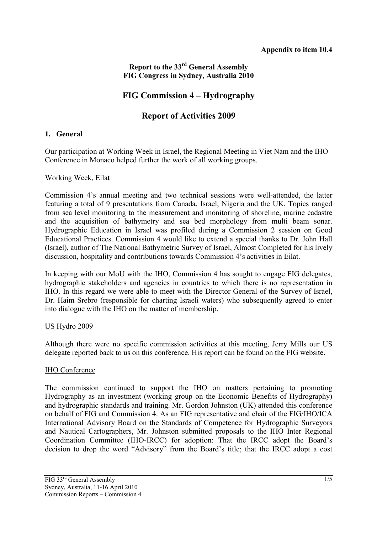## **Report to the 33rd General Assembly FIG Congress in Sydney, Australia 2010**

# **FIG Commission 4 – Hydrography**

# **Report of Activities 2009**

#### **1. General**

Our participation at Working Week in Israel, the Regional Meeting in Viet Nam and the IHO Conference in Monaco helped further the work of all working groups.

#### Working Week, Eilat

Commission 4's annual meeting and two technical sessions were well-attended, the latter featuring a total of 9 presentations from Canada, Israel, Nigeria and the UK. Topics ranged from sea level monitoring to the measurement and monitoring of shoreline, marine cadastre and the acquisition of bathymetry and sea bed morphology from multi beam sonar. Hydrographic Education in Israel was profiled during a Commission 2 session on Good Educational Practices. Commission 4 would like to extend a special thanks to Dr. John Hall (Israel), author of The National Bathymetric Survey of Israel, Almost Completed for his lively discussion, hospitality and contributions towards Commission 4's activities in Eilat.

In keeping with our MoU with the IHO, Commission 4 has sought to engage FIG delegates, hydrographic stakeholders and agencies in countries to which there is no representation in IHO. In this regard we were able to meet with the Director General of the Survey of Israel, Dr. Haim Srebro (responsible for charting Israeli waters) who subsequently agreed to enter into dialogue with the IHO on the matter of membership.

#### US Hydro 2009

Although there were no specific commission activities at this meeting, Jerry Mills our US delegate reported back to us on this conference. His report can be found on the FIG website.

### IHO Conference

The commission continued to support the IHO on matters pertaining to promoting Hydrography as an investment (working group on the Economic Benefits of Hydrography) and hydrographic standards and training. Mr. Gordon Johnston (UK) attended this conference on behalf of FIG and Commission 4. As an FIG representative and chair of the FIG/IHO/ICA International Advisory Board on the Standards of Competence for Hydrographic Surveyors and Nautical Cartographers, Mr. Johnston submitted proposals to the IHO Inter Regional Coordination Committee (IHO-IRCC) for adoption: That the IRCC adopt the Board's decision to drop the word "Advisory" from the Board's title; that the IRCC adopt a cost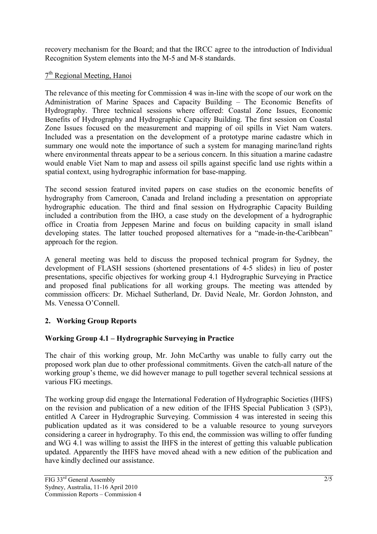recovery mechanism for the Board; and that the IRCC agree to the introduction of Individual Recognition System elements into the M-5 and M-8 standards.

### 7th Regional Meeting, Hanoi

The relevance of this meeting for Commission 4 was in-line with the scope of our work on the Administration of Marine Spaces and Capacity Building – The Economic Benefits of Hydrography. Three technical sessions where offered: Coastal Zone Issues, Economic Benefits of Hydrography and Hydrographic Capacity Building. The first session on Coastal Zone Issues focused on the measurement and mapping of oil spills in Viet Nam waters. Included was a presentation on the development of a prototype marine cadastre which in summary one would note the importance of such a system for managing marine/land rights where environmental threats appear to be a serious concern. In this situation a marine cadastre would enable Viet Nam to map and assess oil spills against specific land use rights within a spatial context, using hydrographic information for base-mapping.

The second session featured invited papers on case studies on the economic benefits of hydrography from Cameroon, Canada and Ireland including a presentation on appropriate hydrographic education. The third and final session on Hydrographic Capacity Building included a contribution from the IHO, a case study on the development of a hydrographic office in Croatia from Jeppesen Marine and focus on building capacity in small island developing states. The latter touched proposed alternatives for a "made-in-the-Caribbean" approach for the region.

A general meeting was held to discuss the proposed technical program for Sydney, the development of FLASH sessions (shortened presentations of 4-5 slides) in lieu of poster presentations, specific objectives for working group 4.1 Hydrographic Surveying in Practice and proposed final publications for all working groups. The meeting was attended by commission officers: Dr. Michael Sutherland, Dr. David Neale, Mr. Gordon Johnston, and Ms. Venessa O'Connell.

## **2. Working Group Reports**

## **Working Group 4.1 – Hydrographic Surveying in Practice**

The chair of this working group, Mr. John McCarthy was unable to fully carry out the proposed work plan due to other professional commitments. Given the catch-all nature of the working group's theme, we did however manage to pull together several technical sessions at various FIG meetings.

The working group did engage the International Federation of Hydrographic Societies (IHFS) on the revision and publication of a new edition of the IFHS Special Publication 3 (SP3), entitled A Career in Hydrographic Surveying. Commission 4 was interested in seeing this publication updated as it was considered to be a valuable resource to young surveyors considering a career in hydrography. To this end, the commission was willing to offer funding and WG 4.1 was willing to assist the IHFS in the interest of getting this valuable publication updated. Apparently the IHFS have moved ahead with a new edition of the publication and have kindly declined our assistance.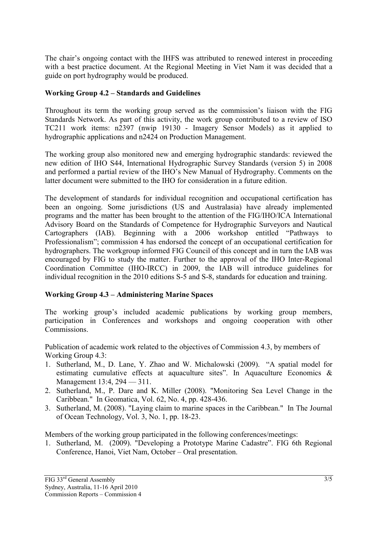The chair's ongoing contact with the IHFS was attributed to renewed interest in proceeding with a best practice document. At the Regional Meeting in Viet Nam it was decided that a guide on port hydrography would be produced.

### **Working Group 4.2 – Standards and Guidelines**

Throughout its term the working group served as the commission's liaison with the FIG Standards Network. As part of this activity, the work group contributed to a review of ISO TC211 work items: n2397 (nwip 19130 - Imagery Sensor Models) as it applied to hydrographic applications and n2424 on Production Management.

The working group also monitored new and emerging hydrographic standards: reviewed the new edition of IHO S44, International Hydrographic Survey Standards (version 5) in 2008 and performed a partial review of the IHO's New Manual of Hydrography. Comments on the latter document were submitted to the IHO for consideration in a future edition.

The development of standards for individual recognition and occupational certification has been an ongoing. Some jurisdictions (US and Australasia) have already implemented programs and the matter has been brought to the attention of the FIG/IHO/ICA International Advisory Board on the Standards of Competence for Hydrographic Surveyors and Nautical Cartographers (IAB). Beginning with a 2006 workshop entitled "Pathways to Professionalism"; commission 4 has endorsed the concept of an occupational certification for hydrographers. The workgroup informed FIG Council of this concept and in turn the IAB was encouraged by FIG to study the matter. Further to the approval of the IHO Inter-Regional Coordination Committee (IHO-IRCC) in 2009, the IAB will introduce guidelines for individual recognition in the 2010 editions S-5 and S-8, standards for education and training.

### **Working Group 4.3 – Administering Marine Spaces**

The working group's included academic publications by working group members, participation in Conferences and workshops and ongoing cooperation with other Commissions.

Publication of academic work related to the objectives of Commission 4.3, by members of Working Group 4.3:

- 1. Sutherland, M., D. Lane, Y. Zhao and W. Michalowski (2009). "A spatial model for estimating cumulative effects at aquaculture sites". In Aquaculture Economics & Management 13:4, 294 — 311.
- 2. Sutherland, M., P. Dare and K. Miller (2008). "Monitoring Sea Level Change in the Caribbean." In Geomatica, Vol. 62, No. 4, pp. 428-436.
- 3. Sutherland, M. (2008). "Laying claim to marine spaces in the Caribbean." In The Journal of Ocean Technology, Vol. 3, No. 1, pp. 18-23.

Members of the working group participated in the following conferences/meetings:

1. Sutherland, M. (2009). "Developing a Prototype Marine Cadastre". FIG 6th Regional Conference, Hanoi, Viet Nam, October – Oral presentation.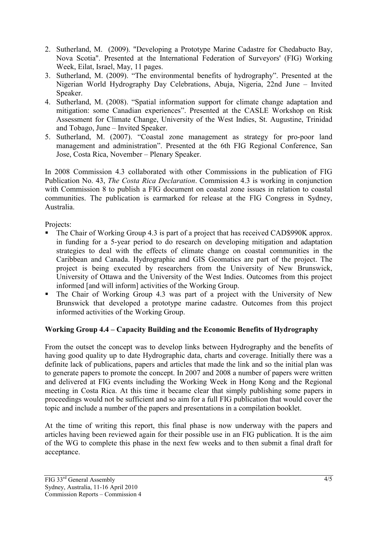- 2. Sutherland, M. (2009). "Developing a Prototype Marine Cadastre for Chedabucto Bay, Nova Scotia". Presented at the International Federation of Surveyors' (FIG) Working Week, Eilat, Israel, May, 11 pages.
- 3. Sutherland, M. (2009). "The environmental benefits of hydrography". Presented at the Nigerian World Hydrography Day Celebrations, Abuja, Nigeria, 22nd June – Invited Speaker.
- 4. Sutherland, M. (2008). "Spatial information support for climate change adaptation and mitigation: some Canadian experiences". Presented at the CASLE Workshop on Risk Assessment for Climate Change, University of the West Indies, St. Augustine, Trinidad and Tobago, June – Invited Speaker.
- 5. Sutherland, M. (2007). "Coastal zone management as strategy for pro-poor land management and administration". Presented at the 6th FIG Regional Conference, San Jose, Costa Rica, November – Plenary Speaker.

In 2008 Commission 4.3 collaborated with other Commissions in the publication of FIG Publication No. 43, *The Costa Rica Declaration*. Commission 4.3 is working in conjunction with Commission 8 to publish a FIG document on coastal zone issues in relation to coastal communities. The publication is earmarked for release at the FIG Congress in Sydney, Australia.

Projects:

- The Chair of Working Group 4.3 is part of a project that has received CAD\$990K approx. in funding for a 5-year period to do research on developing mitigation and adaptation strategies to deal with the effects of climate change on coastal communities in the Caribbean and Canada. Hydrographic and GIS Geomatics are part of the project. The project is being executed by researchers from the University of New Brunswick, University of Ottawa and the University of the West Indies. Outcomes from this project informed [and will inform] activities of the Working Group.
- The Chair of Working Group 4.3 was part of a project with the University of New Brunswick that developed a prototype marine cadastre. Outcomes from this project informed activities of the Working Group.

## **Working Group 4.4 – Capacity Building and the Economic Benefits of Hydrography**

From the outset the concept was to develop links between Hydrography and the benefits of having good quality up to date Hydrographic data, charts and coverage. Initially there was a definite lack of publications, papers and articles that made the link and so the initial plan was to generate papers to promote the concept. In 2007 and 2008 a number of papers were written and delivered at FIG events including the Working Week in Hong Kong and the Regional meeting in Costa Rica. At this time it became clear that simply publishing some papers in proceedings would not be sufficient and so aim for a full FIG publication that would cover the topic and include a number of the papers and presentations in a compilation booklet.

At the time of writing this report, this final phase is now underway with the papers and articles having been reviewed again for their possible use in an FIG publication. It is the aim of the WG to complete this phase in the next few weeks and to then submit a final draft for acceptance.